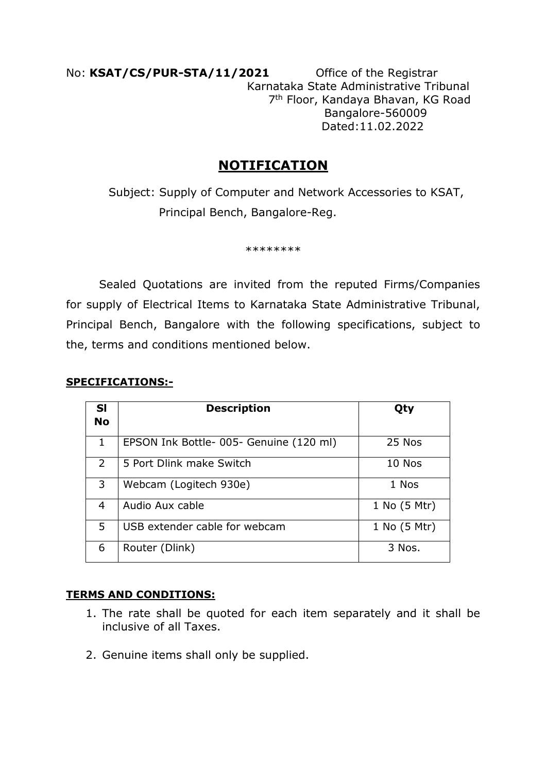No: **KSAT/CS/PUR-STA/11/2021** Office of the Registrar Karnataka State Administrative Tribunal 7 th Floor, Kandaya Bhavan, KG Road Bangalore-560009 Dated:11.02.2022

# **NOTIFICATION**

 Subject: Supply of Computer and Network Accessories to KSAT, Principal Bench, Bangalore-Reg.

\*\*\*\*\*\*\*\*

 Sealed Quotations are invited from the reputed Firms/Companies for supply of Electrical Items to Karnataka State Administrative Tribunal, Principal Bench, Bangalore with the following specifications, subject to the, terms and conditions mentioned below.

### **SPECIFICATIONS:-**

| <b>SI</b><br><b>No</b> | <b>Description</b>                     | Qty          |
|------------------------|----------------------------------------|--------------|
| 1                      | EPSON Ink Bottle-005- Genuine (120 ml) | 25 Nos       |
| 2                      | 5 Port Dlink make Switch               | 10 Nos       |
| 3                      | Webcam (Logitech 930e)                 | 1 Nos        |
| 4                      | Audio Aux cable                        | 1 No (5 Mtr) |
| 5                      | USB extender cable for webcam          | 1 No (5 Mtr) |
| 6                      | Router (Dlink)                         | 3 Nos.       |

#### **TERMS AND CONDITIONS:**

- 1. The rate shall be quoted for each item separately and it shall be inclusive of all Taxes.
- 2. Genuine items shall only be supplied.